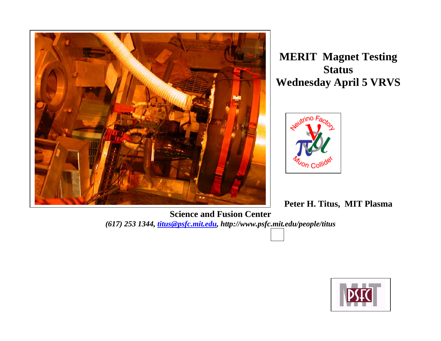

**MERIT Magnet Testing Status Wednesday April 5 VRVS**



**Peter H. Titus, MIT Plasma** 

**Science and Fusion Center**  *(617) 253 1344, titus@psfc.mit.edu, http://www.psfc.mit.edu/people/titus*

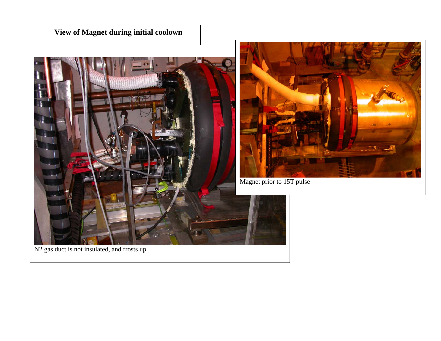## **View of Magnet during initial coolown**





```
Magnet prior to 15T pulse
```
N<sub>2</sub> gas duct is not insulated, and frosts up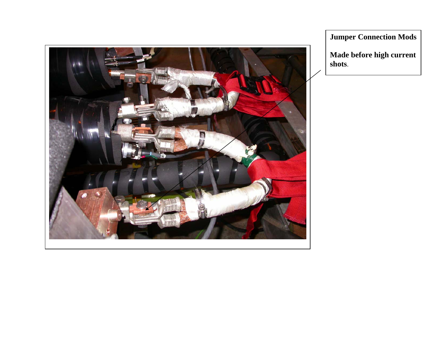

**Jumper Connection Mods** 

**Made before high current shots**.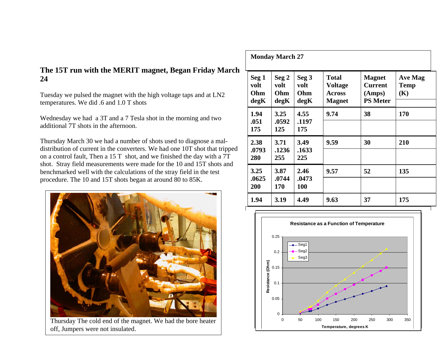## **The 15T run with the MERIT magnet, Began Friday March 24**

Tuesday we pulsed the magnet with the high voltage taps and at LN2 temperatures. We did .6 and 1.0 T shots

Wednesday we had a 3T and a 7 Tesla shot in the morning and two additional 7T shots in the afternoon.

Thursday March 30 we had a number of shots used to diagnose a maldistribution of current in the converters. We had one 10T shot that tripped on a control fault, Then a 15 T shot, and we finished the day with a 7T shot. Stray field measurements were made for the 10 and 15T shots and benchmarked well with the calculations of the stray field in the test procedure. The 10 and 15T shots began at around 80 to 85K.



Thursday The cold end of the magnet. We had the bore heater off, Jumpers were not insulated.

| <b>Monday March 27</b>       |                                               |                              |                                                           |                                                              |                                      |
|------------------------------|-----------------------------------------------|------------------------------|-----------------------------------------------------------|--------------------------------------------------------------|--------------------------------------|
| Seg 1<br>volt<br>Ohm<br>degK | $\operatorname{Seg} 2$<br>volt<br>Ohm<br>degK | Seg 3<br>volt<br>Ohm<br>degK | <b>Total</b><br>Voltage<br><b>Across</b><br><b>Magnet</b> | <b>Magnet</b><br><b>Current</b><br>(Amps)<br><b>PS Meter</b> | <b>Ave Mag</b><br><b>Temp</b><br>(K) |
| 1.94<br>.051<br>175          | 3.25<br>.0592<br>125                          | 4.55<br>.1197<br>175         | 9.74                                                      | 38                                                           | 170                                  |
| 2.38<br>.0793<br>280         | 3.71<br>.1236<br>255                          | 3.49<br>.1633<br>225         | 9.59                                                      | 30                                                           | 210                                  |
| 3.25<br>.0625<br>200         | 3.87<br>.0744<br>170                          | 2.46<br>.0473<br><b>100</b>  | 9.57                                                      | 52                                                           | 135                                  |
| 1.94                         | 3.19                                          | 4.49                         | 9.63                                                      | 37                                                           | 175                                  |

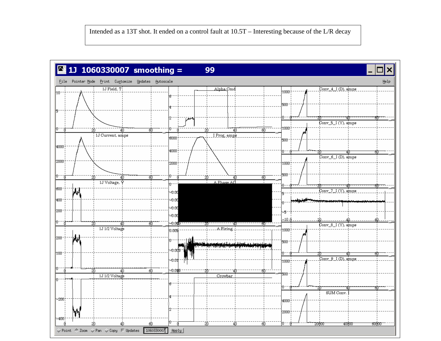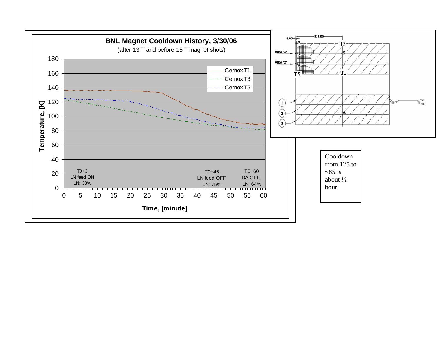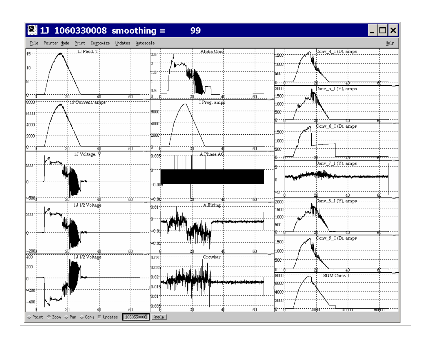## $11 1060330008$  smoothing =





99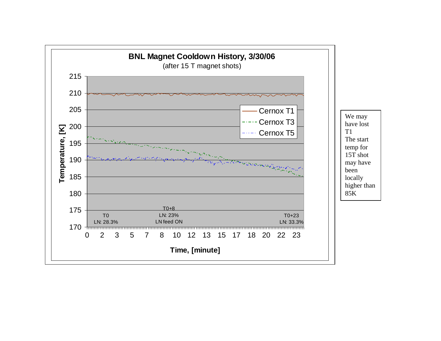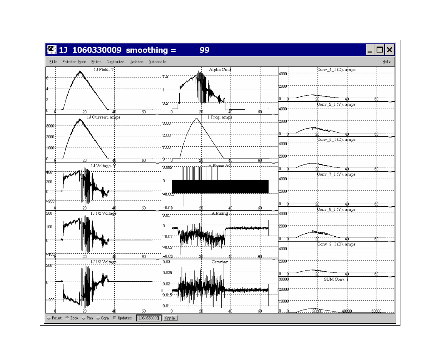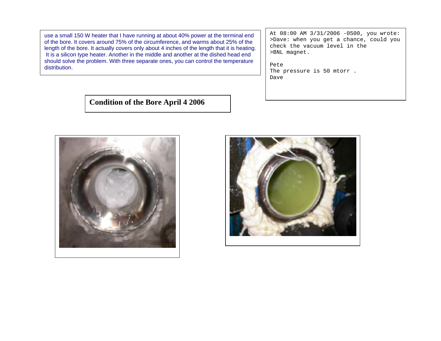use a small 150 W heater that I have running at about 40% power at the terminal end of the bore. It covers around 75% of the circumference, and warms about 25% of the length of the bore. It actually covers only about 4 inches of the length that it is heating. It is a silicon type heater. Another in the middle and another at the dished head end should solve the problem. With three separate ones, you can control the temperature distribution.

At 08:00 AM 3/31/2006 -0500, you wrote: >Dave: when you get a chance, could you check the vacuum level in the >BNL magnet.

Pete The pressure is 50 mtorr. Dave

**Condition of the Bore April 4 2006**